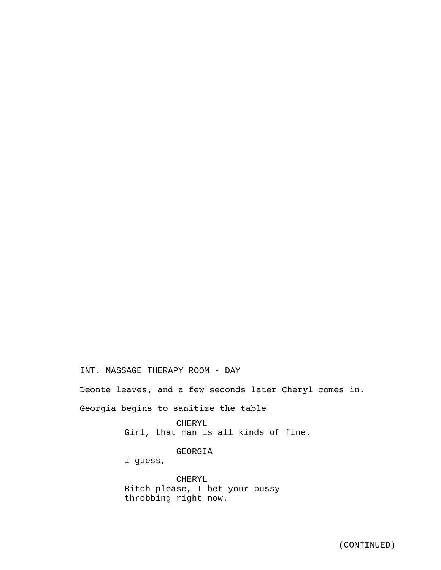INT. MASSAGE THERAPY ROOM - DAY

Deonte leaves, and a few seconds later Cheryl comes in.

Georgia begins to sanitize the table

CHERYL Girl, that man is all kinds of fine.

GEORGIA

I guess,

CHERYL Bitch please, I bet your pussy throbbing right now.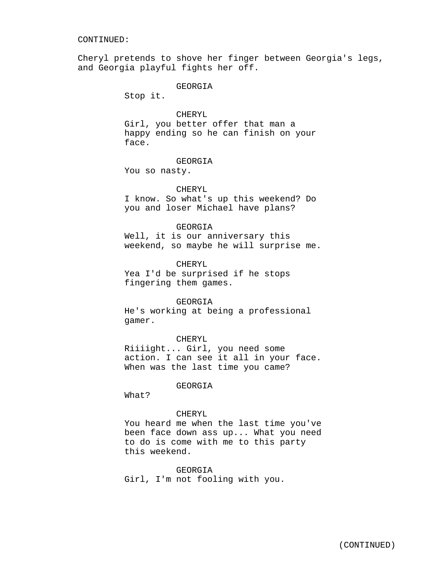#### CONTINUED:

Cheryl pretends to shove her finger between Georgia's legs, and Georgia playful fights her off.

GEORGIA

Stop it.

CHERYL Girl, you better offer that man a happy ending so he can finish on your face.

#### GEORGIA

You so nasty.

## CHERYL

I know. So what's up this weekend? Do you and loser Michael have plans?

#### GEORGIA

Well, it is our anniversary this weekend, so maybe he will surprise me.

CHERYL Yea I'd be surprised if he stops fingering them games.

### GEORGIA

He's working at being a professional gamer.

CHERYL

Riiiight... Girl, you need some action. I can see it all in your face. When was the last time you came?

### GEORGIA

What?

### CHERYL

You heard me when the last time you've been face down ass up... What you need to do is come with me to this party this weekend.

GEORGIA

Girl, I'm not fooling with you.